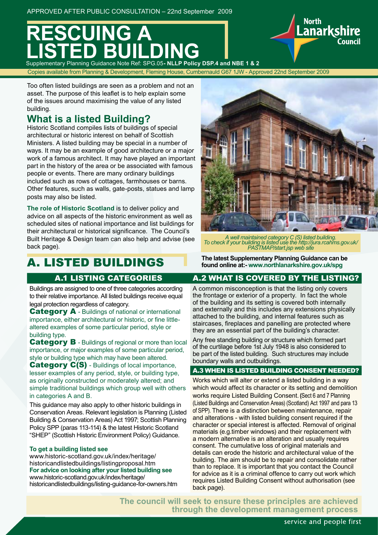# **REGISTER LISTED BUILDING**<br>Supplementary Planning Guidance Note Ref: SPG.05- NLLP Policy DSP.4 and NBE 1 & 2

Copies available from Planning & Development, Fleming House, Cumbernauld G67 1JW - Approved 22nd September 2009

Too often listed buildings are seen as a problem and not an asset. The purpose of this leaflet is to help explain some of the issues around maximising the value of any listed building.

### **What is a listed Building?**

Historic Scotland compiles lists of buildings of special architectural or historic interest on behalf of Scottish Ministers. A listed building may be special in a number of ways. It may be an example of good architecture or a major work of a famous architect. It may have played an important part in the history of the area or be associated with famous people or events. There are many ordinary buildings included such as rows of cottages, farmhouses or barns. Other features, such as walls, gate-posts, statues and lamp posts may also be listed.

**The role of Historic Scotland** is to deliver policy and advice on all aspects of the historic environment as well as scheduled sites of national importance and list buildings for their architectural or historical significance. The Council's Built Heritage & Design team can also help and advise (see back page).

### A. LISTED BUILDINGS

Buildings are assigned to one of three categories according to their relative importance. All listed buildings receive equal legal protection regardless of category.

**Category A** - Buildings of national or international importance, either architectural or historic, or fine littlealtered examples of some particular period, style or building type.

**Category B** - Buildings of regional or more than local importance, or major examples of some particular period, style or building type which may have been altered.

Category C(S) - Buildings of local importance, lesser examples of any period, style, or building type, as originally constructed or moderately altered; and simple traditional buildings which group well with others in categories A and B.

This guidance may also apply to other historic buildings in Conservation Areas. Relevant legislation is Planning (Listed Building & Conservation Areas) Act 1997; Scottish Planning Policy SPP (paras 113-114) & the latest Historic Scotland "SHEP" (Scottish Historic Environment Policy) Guidance.

#### **To get a building listed see**

www.historic-scotland.gov.uk/index/heritage/ historicandlistedbuildings/listingproposal.htm **For advice on looking after your listed building see** www.historic-scotland.gov.uk/index/heritage/ historicandlistedbuildings/listing-guidance-for-owners.htm



**North** 

**Lanarkshire** 

*A well maintained category C (S) listed building. To check if your building is listed use the http://jura.rcahms.gov.uk/ PASTMAP/start.jsp web site*

**The latest Supplementary Planning Guidance can be found online at:- www.northlanarkshire.gov.uk/spg**

### A.1 LISTING CATEGORIES A.2 WHAT IS COVERED BY THE LISTING?

A common misconception is that the listing only covers the frontage or exterior of a property. In fact the whole of the building and its setting is covered both internally and externally and this includes any extensions physically attached to the building, and internal features such as staircases, fireplaces and panelling are protected where they are an essential part of the building's character.

Any free standing building or structure which formed part of the curtilage before 1st July 1948 is also considered to be part of the listed building. Such structures may include boundary walls and outbuildings.

### A.3 WHEN IS LISTED BUILDING CONSENT NEEDED?

Works which will alter or extend a listed building in a way which would affect its character or its setting and demolition works require Listed Building Consent. **(**Sect 6 and 7 Planning (Listed Buildings and Conservation Areas) (Scotland) Act 1997 and para 13 of SPP). There is a distinction between maintenance, repair and alterations - with listed building consent required if the character or special interest is affected. Removal of original materials (e.g.timber windows) and their replacement with a modern alternative is an alteration and usually requires consent. The cumulative loss of original materials and details can erode the historic and architectural value of the building. The aim should be to repair and consolidate rather than to replace. It is important that you contact the Council for advice as it is a criminal offence to carry out work which requires Listed Building Consent without authorisation (see back page).

**The council will seek to ensure these principles are achieved through the development management process**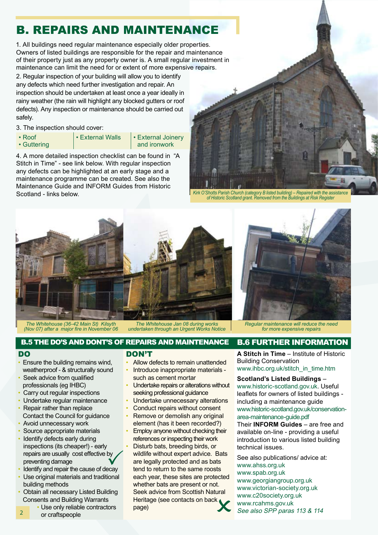## B. REPAIRS AND MAINTENANCE

2. Regular inspection of your building will allow you to identify any defects which need further investigation and repair. An inspection should be undertaken at least once a year ideally in rainy weather (the rain will highlight any blocked gutters or roof defects). Any inspection or maintenance should be carried out safely. 1. All buildings need regular maintenance especially older properties. Owners of listed buildings are responsible for the repair and maintenance of their property just as any property owner is. A small regular investment in maintenance can limit the need for or extent of more expensive repairs.

3. The inspection should cover:

• Roof • Guttering

• External Walls | • External Joinery and ironwork

4. A more detailed inspection checklist can be found in "A Stitch in Time" - see link below. With regular inspection any defects can be highlighted at an early stage and a maintenance programme can be created. See also the Maintenance Guide and INFORM Guides from Historic Scotland - links below.

*Kirk O'Shotts Parish Church (category B listed building) – Repaired with the assistance of Historic Scotland grant. Removed from the Buildings at Risk Register*



*The Whitehouse (36-42 Main St) Kilsyth (Nov 07) after a major fire in November 06*

*The Whitehouse Jan 08 during works undertaken through an Urgent Works Notice* *Regular maintenance will reduce the need for more expensive repairs*

### B.5 THE DO'S AND DONT'S OF REPAIRS AND MAINTENANCE B.6 FURTHER INFORMATION

### DO

 $\overline{2}$ 

- Ensure the building remains wind, weatherproof - & structurally sound
- Seek advice from qualified professionals (eg IHBC)
- Carry out regular inspections
- Undertake regular maintenance
- Repair rather than replace Contact the Council for guidance
- Avoid unnecessary work
- Source appropriate materials
- Identify defects early during inspections (its cheaper!) - early repairs are usually cost effective by preventing damage repairs are usually cost effective by<br>
preventing damage<br>
• Identify and repair the cause of decay
- 
- Use original materials and traditional building methods
- Obtain all necessary Listed Building Consents and Building Warrants
	- Use only reliable contractors or craftspeople

### DON'T

- Allow defects to remain unattended
- Introduce inappropriate materials such as cement mortar
- Undertake repairs or alterations without seeking professional guidance
- Undertake unnecessary alterations
- Conduct repairs without consent
- Remove or demolish any original element (has it been recorded?)
- Employ anyone without checking their references or inspecting their work • Disturb bats, breeding birds, or wildlife without expert advice. Bats are legally protected and as bats tend to return to the same roosts each year, these sites are protected whether bats are present or not. Seek advice from Scottish Natural Heritage (see contacts on back page)

**A Stitch in Time** – Institute of Historic Building Conservation

www.ihbc.org.uk/stitch\_in\_time.htm

### **Scotland's Listed Buildings** –

www.historic-scotland.gov.uk. Useful leaflets for owners of listed buildings including a maintenance guide www.historic-scotland.gov.uk/conservationarea-maintenance-guide.pdf

Their **INFORM Guides** – are free and available on-line - providing a useful introduction to various listed building technical issues.

See also publications/ advice at: www.ahss.org.uk www.spab.org.uk www.georgiangroup.org.uk www.victorian-society.org.uk www.c20society.org.uk www.rcahms.gov.uk See also SPP paras 113 & 114



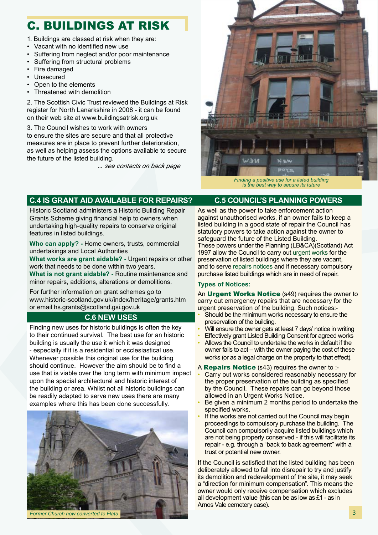### C. BUILDINGS AT RISK

- 1. Buildings are classed at risk when they are:
- Vacant with no identified new use
- Suffering from neglect and/or poor maintenance
- Suffering from structural problems
- Fire damaged
- Unsecured
- Open to the elements
- Threatened with demolition

2. The Scottish Civic Trust reviewed the Buildings at Risk register for North Lanarkshire in 2008 - it can be found on their web site at www.buildingsatrisk.org.uk

3. The Council wishes to work with owners to ensure the sites are secure and that all protective measures are in place to prevent further deterioration, as well as helping assess the options available to secure the future of the listed building.

... *see contacts on back page*



*is the best way to secure its future*

### **C.4 IS GRANT AID AVAILABLE FOR REPAIRS? C.5 COUNCIL'S PLANNING POWERS**

Historic Scotland administers a Historic Building Repair Grants Scheme giving financial help to owners when undertaking high-quality repairs to conserve original features in listed buildings.

**Who can apply? -** Home owners, trusts, commercial undertakings and Local Authorities

**What works are grant aidable? -** Urgent repairs or other work that needs to be done within two years. **What is not grant aidable? -** Routine maintenance and

minor repairs, additions, alterations or demolitions.

For further information on grant schemes go to www.historic-scotland.gov.uk/index/heritage/grants.htm or email hs.grants@scotland.gsi.gov.uk

### **C.6 NEW USES**

Finding new uses for historic buildings is often the key to their continued survival. The best use for an historic building is usually the use it which it was designed - especially if it is a residential or ecclesiastical use. Whenever possible this original use for the building should continue. However the aim should be to find a use that is viable over the long term with minimum impact upon the special architectural and historic interest of the building or area. Whilst not all historic buildings can be readily adapted to serve new uses there are many examples where this has been done successfully.



As well as the power to take enforcement action against unauthorised works, if an owner fails to keep a listed building in a good state of repair the Council has statutory powers to take action against the owner to safeguard the future of the Listed Building. These powers under the Planning (LB&CA)(Scotland) Act 1997 allow the Council to carry out urgent works for the preservation of listed buildings where they are vacant, and to serve repairs notices and if necessary compulsory purchase listed buildings which are in need of repair.

### **Types of Notices:**

An Urgent Works Notice (s49) requires the owner to carry out emergency repairs that are necessary for the urgent preservation of the building. Such notices:-

- Should be the minimum works necessary to ensure the preservation of the building.
- Will ensure the owner gets at least 7 days' notice in writing
- **Effectively grant Listed Building Consent for agreed works**
- Allows the Council to undertake the works in default if the owner fails to act – with the owner paying the cost of these works (or as a legal charge on the property to that effect).
- A **Repairs Notice** (s43) requires the owner to :-
- Carry out works considered reasonably necessary for the proper preservation of the building as specified by the Council. These repairs can go beyond those allowed in an Urgent Works Notice.
- Be given a minimum 2 months period to undertake the specified works.
- If the works are not carried out the Council may begin proceedings to compulsory purchase the building. The Council can compulsorily acquire listed buildings which are not being properly conserved - if this will facilitate its repair - e.g. through a "back to back agreement" with a trust or potential new owner.

If the Council is satisfied that the listed building has been deliberately allowed to fall into disrepair to try and justify its demolition and redevelopment of the site, it may seek a "direction for minimum compensation". This means the owner would only receive compensation which excludes all development value (this can be as low as £1 - as in Arnos Vale cemetery case).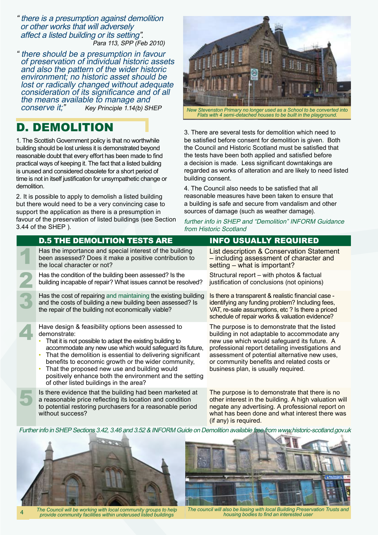" there is a presumption against demolition or other works that will adversely affect a listed building or its setting". Para 113, SPP (Feb 2010)

there should be a presumption in favour of preservation of individual historic assets and also the pattern of the wider historic environment; no historic asset should be lost or radically changed without adequate consideration of its significance and of all the means available to manage and<br>conserve it;" Key Principle 1.14(b) SH Key Principle 1.14(b) SHEP

### D. DEMOLITION

1. The Scottish Government policy is that no worthwhile building should be lost unless it is demonstrated beyond reasonable doubt that every effort has been made to find practical ways of keeping it. The fact that a listed building is unused and considered obsolete for a short period of time is not in itself justification for unsympathetic change or demolition.

2. It is possible to apply to demolish a listed building but there would need to be a very convincing case to support the application as there is a presumption in favour of the preservation of listed buildings (see Section 3.44 of the SHEP ).



*Flats with 4 semi-detached houses to be built in the playground.*

3. There are several tests for demolition which need to be satisfied before consent for demolition is given. Both the Council and Historic Scotland must be satisfied that the tests have been both applied and satisfied before a decision is made. Less significant downtakings are regarded as works of alteration and are likely to need listed building consent.

4. The Council also needs to be satisfied that all reasonable measures have been taken to ensure that a building is safe and secure from vandalism and other sources of damage (such as weather damage).

further info in SHEP and "Demolition" INFORM Guidance from Historic Scotland

| <b>D.5 THE DEMOLITION TESTS ARE</b>                                                                                                                                                                                                                                                                                                                                                                                                                                    | <b>INFO USUALLY REQUIRED</b>                                                                                                                                                                                                                                                                                                           |
|------------------------------------------------------------------------------------------------------------------------------------------------------------------------------------------------------------------------------------------------------------------------------------------------------------------------------------------------------------------------------------------------------------------------------------------------------------------------|----------------------------------------------------------------------------------------------------------------------------------------------------------------------------------------------------------------------------------------------------------------------------------------------------------------------------------------|
| Has the importance and special interest of the building<br>been assessed? Does it make a positive contribution to<br>the local character or not?                                                                                                                                                                                                                                                                                                                       | List description & Conservation Statement<br>- including assessment of character and<br>setting – what is important?                                                                                                                                                                                                                   |
| Has the condition of the building been assessed? Is the<br>building incapable of repair? What issues cannot be resolved?                                                                                                                                                                                                                                                                                                                                               | Structural report - with photos & factual<br>justification of conclusions (not opinions)                                                                                                                                                                                                                                               |
| Has the cost of repairing and maintaining the existing building<br>and the costs of building a new building been assessed? Is<br>the repair of the building not economically viable?                                                                                                                                                                                                                                                                                   | Is there a transparent & realistic financial case -<br>identifying any funding problem? Including fees,<br>VAT, re-sale assumptions, etc ? Is there a priced<br>schedule of repair works & valuation evidence?                                                                                                                         |
| Have design & feasibility options been assessed to<br>demonstrate:<br>That it is not possible to adapt the existing building to<br>accommodate any new use which would safeguard its future,<br>That the demolition is essential to delivering significant<br>benefits to economic growth or the wider community,<br>That the proposed new use and building would<br>positively enhance both the environment and the setting<br>of other listed buildings in the area? | The purpose is to demonstrate that the listed<br>building in not adaptable to accommodate any<br>new use which would safeguard its future. A<br>professional report detailing investigations and<br>assessment of potential alternative new uses,<br>or community benefits and related costs or<br>business plan, is usually required. |
| Is there evidence that the building had been marketed at<br>a reasonable price reflecting its location and condition<br>to potential restoring purchasers for a reasonable period                                                                                                                                                                                                                                                                                      | The purpose is to demonstrate that there is no<br>other interest in the building. A high valuation will<br>negate any advertising. A professional report on                                                                                                                                                                            |

Further info in SHEP Sections 3.42, 3.46 and 3.52 & INFORM Guide on Demolition available free from www.historic-scotland.gov.uk



without success?

*housing bodies to find an interested user The Council will be working with local community groups to help provide community facilities within underused listed buildings* 4

(if any) is required.

what has been done and what interest there was

*The council will also be liasing with local Building Preservation Trusts and*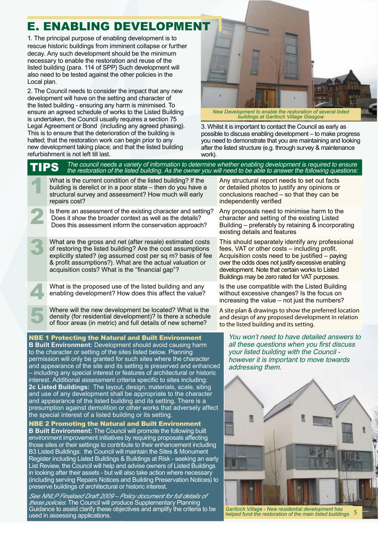## E. ENABLING DEVELOPMENT

1. The principal purpose of enabling development is to rescue historic buildings from imminent collapse or further decay. Any such development should be the minimum necessary to enable the restoration and reuse of the listed building (para. 114 of SPP) Such development will also need to be tested against the other policies in the Local plan.

2. The Council needs to consider the impact that any new development will have on the setting and character of the listed building - ensuring any harm is minimised. To ensure an agreed schedule of works to the Listed Building is undertaken, the Council usually requires a section 75 Legal Agreement or Bond (including any agreed phasing). This is to ensure that the deterioration of the building is halted; that the restoration work can begin prior to any new development taking place; and that the listed building refurbishment is not left till last.



*New Development to enable the restoration of several listed buildings at Gartloch Village Glasgow*

3. Whilst it is important to contact the Council as early as possible to discuss enabling development – to make progress you need to demonstrate that you are maintaining and looking after the listed structure (e.g. through survey & maintenance work).

 $\mathsf{TPS}$  The council needs a variety of information to determine whether enabling development is required to ensure<br> $\mathsf{TPS}$  the restoration of the listed building. As the owner you will need to be able to answer the fo

What is the current condition of the listed building? If the building is derelict or in a poor state – then do you have a structural survey and assessment? How much will early building is derelict or in a poor state – then do you have a structural survey and assessment? How much will early repairs cost?

Is there an assessment of the existing character and setting? Does it show the broader context as well as the details? Does this assessment inform the conservation approach?

What are the gross and net (after resale) estimated costs of restoring the listed building? Are the cost assumptions explicitly stated? (eg assumed cost per sq m? basis of fee of restoring the listed building? Are the cost assumptions & profit assumptions?). What are the actual valuation or acquisition costs? What is the "financial gap"?

What is the proposed use of the listed building and any enabling development? How does this affect the value? enabling development? How does this affect the value?

Where will the new development be located? What is the density (for residential development)? Is there a schedule of floor areas (in metric) and full details of new scheme? density (for residential development)? Is there a schedule

of floor areas (in metric) and full details of new scheme?

NBE 1 Protecting the Natural and Built Environment

**B Built Environment:** Development should avoid causing harm to the character or setting of the sites listed below. Planning permission will only be granted for such sites where the character and appearance of the site and its setting is preserved and enhanced – including any special interest or features of architectural or historic interest. Additional assessment criteria specific to sites including: **2c Listed Buildings:** The layout, design, materials, scale, siting and use of any development shall be appropriate to the character and appearance of the listed building and its setting. There is a presumption against demolition or other works that adversely affect the special interest of a listed building or its setting.

NBE 2 Promoting the Natural and Built Environment **B Built Environment:** The Council will promote the following built environment improvement initiatives by requiring proposals affecting those sites or their settings to contribute to their enhancement including B3 Listed Buildings: the Council will maintain the Sites & Monument Register including Listed Buildings & Buildings at Risk - seeking an early List Review, the Council will help and advise owners of Listed Buildings in looking after their assets - but will also take action where necessary (including serving Repairs Notices and Building Preservation Notices) to preserve buildings of architectural or historic interest.

*See NNLP Finalised Draft 2009 – Policy document for full details of these policies.* The Council will produce Supplementary Planning Guidance to assist clarify these objectives and amplify the criteria to be used in assessing applications.

Any structural report needs to set out facts or detailed photos to justify any opinions or conclusions reached – so that they can be independently verified

Any proposals need to minimise harm to the character and setting of the existing Listed Building – preferably by retaining & incorporating existing details and features

This should separately identify any professional fees, VAT or other costs – including profit. Acquisition costs need to be justified – paying over the odds does not justify excessive enabling development. Note that certain works to Listed Buildings may be zero rated for VAT purposes.

Is the use compatible with the Listed Building without excessive changes? Is the focus on increasing the value – not just the numbers?

A site plan & drawings to show the preferred location and design of any proposed development in relation to the listed building and its setting.

You won't need to have detailed answers to all these questions when you first discuss your listed building with the Council however it is important to move towards addressing them.



*Gartloch Village - New residential development has helped fund the restoration of the main listed buildings* 5